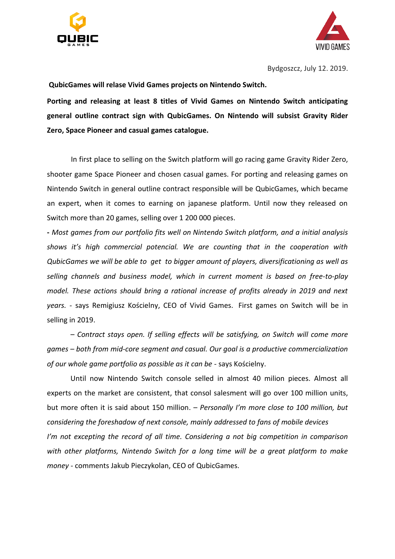



**QubicGames will relase Vivid Games projects on Nintendo Switch.**

**Porting and releasing at least 8 titles of Vivid Games on Nintendo Switch anticipating general outline contract sign with QubicGames. On Nintendo will subsist Gravity Rider Zero, Space Pioneer and casual games catalogue.**

In first place to selling on the Switch platform will go racing game Gravity Rider Zero, shooter game Space Pioneer and chosen casual games. For porting and releasing games on Nintendo Switch in general outline contract responsible will be QubicGames, which became an expert, when it comes to earning on japanese platform. Until now they released on Switch more than 20 games, selling over 1 200 000 pieces.

**-** *Most games from our portfolio fits well on Nintendo Switch platform, and a initial analysis shows it's high commercial potencial. We are counting that in the cooperation with QubicGames we will be able to get to bigger amount of players, diversificationing as well as selling channels and business model, which in current moment is based on free-to-play model. These actions should bring a rational increase of profits already in 2019 and next years. -* says Remigiusz Kościelny, CEO of Vivid Games. First games on Switch will be in selling in 2019.

*– Contract stays open. If selling effects will be satisfying, on Switch will come more games – both from mid-core segment and casual. Our goal is a productive commercialization of our whole game portfolio as possible as it can be -* says Kościelny.

Until now Nintendo Switch console selled in almost 40 milion pieces. Almost all experts on the market are consistent, that consol salesment will go over 100 million units, but more often it is said about 150 million. – *Personally I'm more close to 100 million, but considering the foreshadow of next console, mainly addressed to fans of mobile devices I'm not excepting the record of all time. Considering a not big competition in comparison with other platforms, Nintendo Switch for a long time will be a great platform to make money -* comments Jakub Pieczykolan, CEO of QubicGames.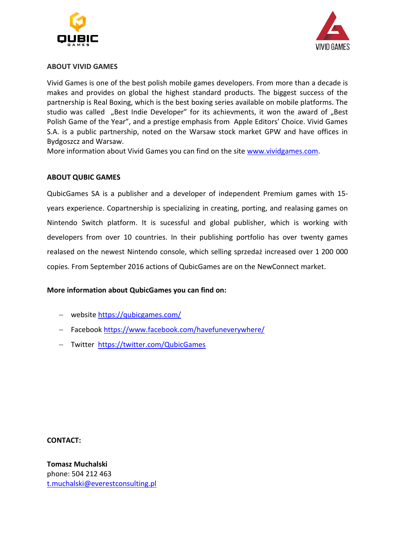



## **ABOUT VIVID GAMES**

Vivid Games is one of the best polish mobile games developers. From more than a decade is makes and provides on global the highest standard products. The biggest success of the partnership is Real Boxing, which is the best boxing series available on mobile platforms. The studio was called "Best Indie Developer" for its achievments, it won the award of "Best Polish Game of the Year", and a prestige emphasis from Apple Editors' Choice. Vivid Games S.A. is a public partnership, noted on the Warsaw stock market GPW and have offices in Bydgoszcz and Warsaw.

More information about Vivid Games you can find on the site [www.vividgames.com.](http://www.vividgames.com/)

## **ABOUT QUBIC GAMES**

QubicGames SA is a publisher and a developer of independent Premium games with 15 years experience. Copartnership is specializing in creating, porting, and realasing games on Nintendo Switch platform. It is sucessful and global publisher, which is working with developers from over 10 countries. In their publishing portfolio has over twenty games realased on the newest Nintendo console, which selling sprzedaż increased over 1 200 000 copies. From September 2016 actions of QubicGames are on the NewConnect market.

## **More information about QubicGames you can find on:**

- website <https://qubicgames.com/>
- Facebook <https://www.facebook.com/havefuneverywhere/>
- Twitter <https://twitter.com/QubicGames>

**CONTACT:**

**Tomasz Muchalski** phone: 504 212 463 [t.muchalski@everestconsulting.pl](mailto:t.muchalski@everestconsulting.pl)